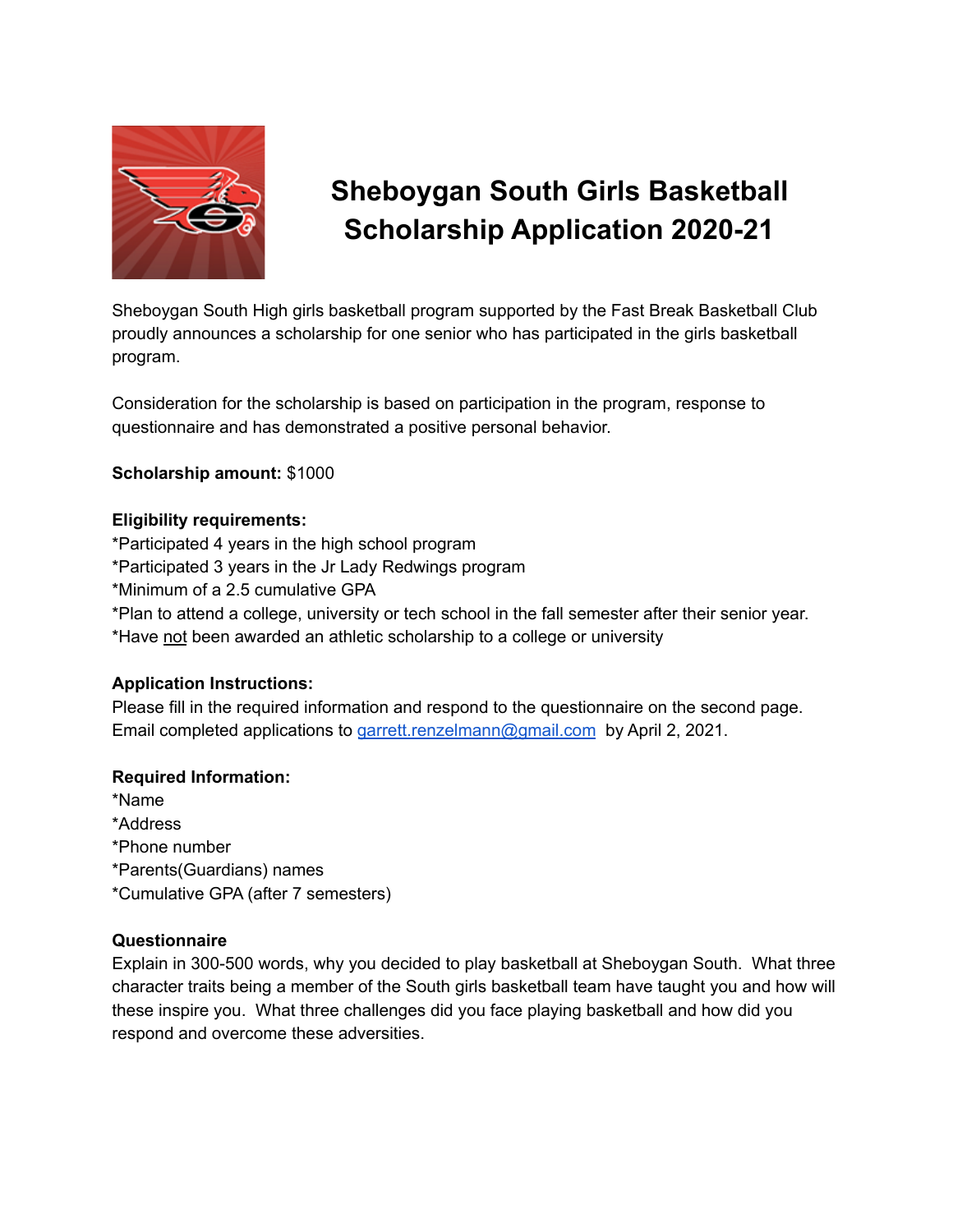

# **Sheboygan South Girls Basketball Scholarship Application 2020-21**

Sheboygan South High girls basketball program supported by the Fast Break Basketball Club proudly announces a scholarship for one senior who has participated in the girls basketball program.

Consideration for the scholarship is based on participation in the program, response to questionnaire and has demonstrated a positive personal behavior.

## **Scholarship amount:** \$1000

### **Eligibility requirements:**

- \*Participated 4 years in the high school program
- \*Participated 3 years in the Jr Lady Redwings program
- \*Minimum of a 2.5 cumulative GPA

\*Plan to attend a college, university or tech school in the fall semester after their senior year. \*Have not been awarded an athletic scholarship to a college or university

## **Application Instructions:**

Please fill in the required information and respond to the questionnaire on the second page. Email completed applications to [garrett.renzelmann@gmail.com](mailto:garrett.renzelmann@gmail.com) by April 2, 2021.

## **Required Information:**

\*Name \*Address \*Phone number \*Parents(Guardians) names \*Cumulative GPA (after 7 semesters)

## **Questionnaire**

Explain in 300-500 words, why you decided to play basketball at Sheboygan South. What three character traits being a member of the South girls basketball team have taught you and how will these inspire you. What three challenges did you face playing basketball and how did you respond and overcome these adversities.